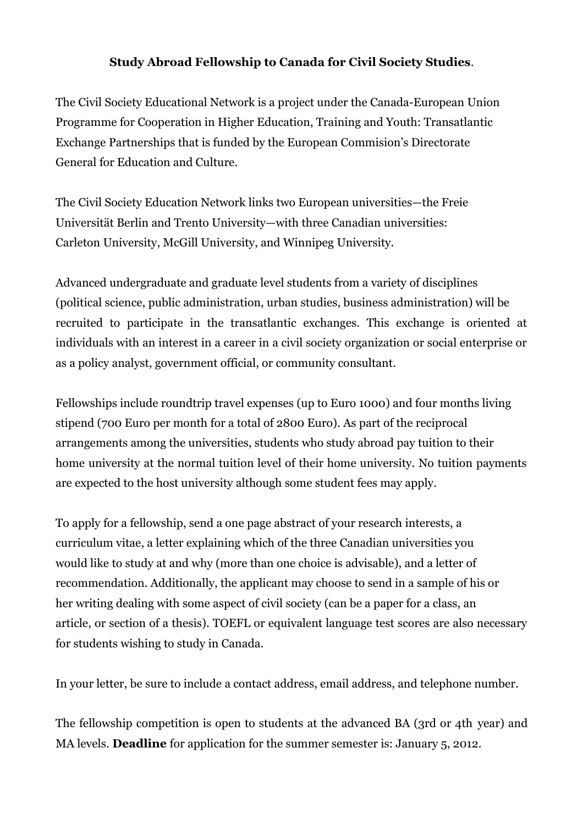## **Study Abroad Fellowship to Canada for Civil Society Studies**.

The Civil Society Educational Network is a project under the Canada-European Union Programme for Cooperation in Higher Education, Training and Youth: Transatlantic Exchange Partnerships that is funded by the European Commision's Directorate General for Education and Culture.

The Civil Society Education Network links two European universities—the Freie Universität Berlin and Trento University—with three Canadian universities: Carleton University, McGill University, and Winnipeg University.

Advanced undergraduate and graduate level students from a variety of disciplines (political science, public administration, urban studies, business administration) will be recruited to participate in the transatlantic exchanges. This exchange is oriented at individuals with an interest in a career in a civil society organization or social enterprise or as a policy analyst, government official, or community consultant.

Fellowships include roundtrip travel expenses (up to Euro 1000) and four months living stipend (700 Euro per month for a total of 2800 Euro). As part of the reciprocal arrangements among the universities, students who study abroad pay tuition to their home university at the normal tuition level of their home university. No tuition payments are expected to the host university although some student fees may apply.

To apply for a fellowship, send a one page abstract of your research interests, a curriculum vitae, a letter explaining which of the three Canadian universities you would like to study at and why (more than one choice is advisable), and a letter of recommendation. Additionally, the applicant may choose to send in a sample of his or her writing dealing with some aspect of civil society (can be a paper for a class, an article, or section of a thesis). TOEFL or equivalent language test scores are also necessary for students wishing to study in Canada.

In your letter, be sure to include a contact address, email address, and telephone number.

The fellowship competition is open to students at the advanced BA (3rd or 4th year) and MA levels. **Deadline** for application for the summer semester is: January 5, 2012.